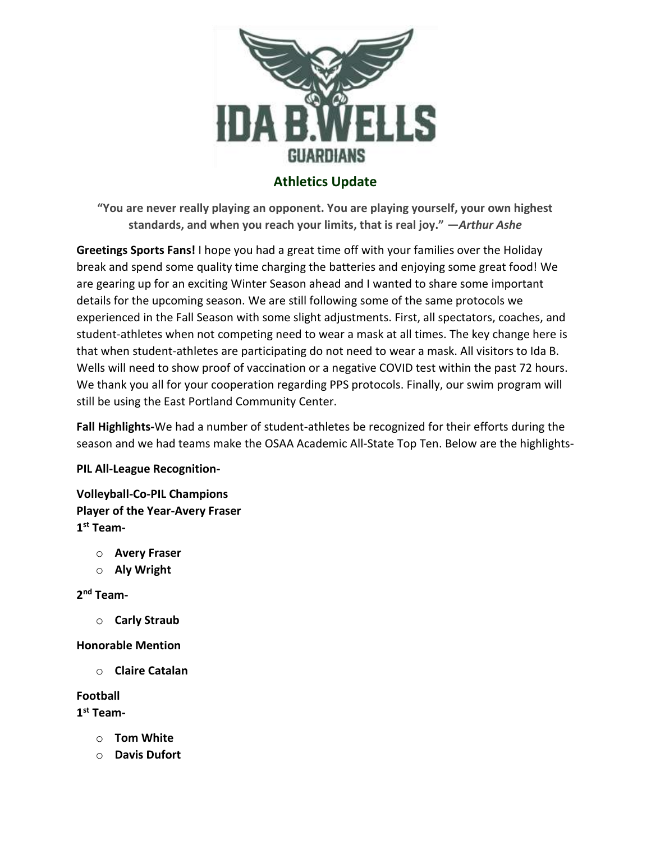

# **Athletics Update**

**"You are never really playing an opponent. You are playing yourself, your own highest standards, and when you reach your limits, that is real joy." —***Arthur Ashe*

**Greetings Sports Fans!** I hope you had a great time off with your families over the Holiday break and spend some quality time charging the batteries and enjoying some great food! We are gearing up for an exciting Winter Season ahead and I wanted to share some important details for the upcoming season. We are still following some of the same protocols we experienced in the Fall Season with some slight adjustments. First, all spectators, coaches, and student-athletes when not competing need to wear a mask at all times. The key change here is that when student-athletes are participating do not need to wear a mask. All visitors to Ida B. Wells will need to show proof of vaccination or a negative COVID test within the past 72 hours. We thank you all for your cooperation regarding PPS protocols. Finally, our swim program will still be using the East Portland Community Center.

**Fall Highlights-**We had a number of student-athletes be recognized for their efforts during the season and we had teams make the OSAA Academic All-State Top Ten. Below are the highlights-

## **PIL All-League Recognition-**

**Volleyball-Co-PIL Champions Player of the Year-Avery Fraser 1 st Team-**

- o **Avery Fraser**
- o **Aly Wright**

**2 nd Team-**

o **Carly Straub**

### **Honorable Mention**

o **Claire Catalan**

### **Football**

**1 st Team-**

- o **Tom White**
- o **Davis Dufort**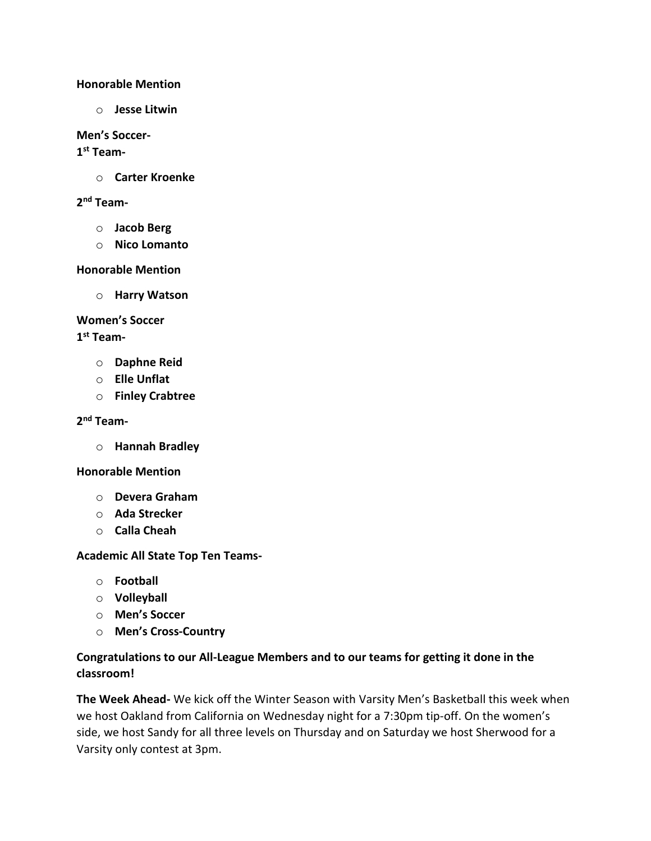### **Honorable Mention**

o **Jesse Litwin**

#### **Men's Soccer-**

### **1 st Team-**

o **Carter Kroenke**

## **2 nd Team-**

- o **Jacob Berg**
- o **Nico Lomanto**

### **Honorable Mention**

o **Harry Watson**

## **Women's Soccer**

### **1 st Team-**

- o **Daphne Reid**
- o **Elle Unflat**
- o **Finley Crabtree**

## **2 nd Team-**

o **Hannah Bradley**

### **Honorable Mention**

- o **Devera Graham**
- o **Ada Strecker**
- o **Calla Cheah**

### **Academic All State Top Ten Teams-**

- o **Football**
- o **Volleyball**
- o **Men's Soccer**
- o **Men's Cross-Country**

## **Congratulations to our All-League Members and to our teams for getting it done in the classroom!**

**The Week Ahead-** We kick off the Winter Season with Varsity Men's Basketball this week when we host Oakland from California on Wednesday night for a 7:30pm tip-off. On the women's side, we host Sandy for all three levels on Thursday and on Saturday we host Sherwood for a Varsity only contest at 3pm.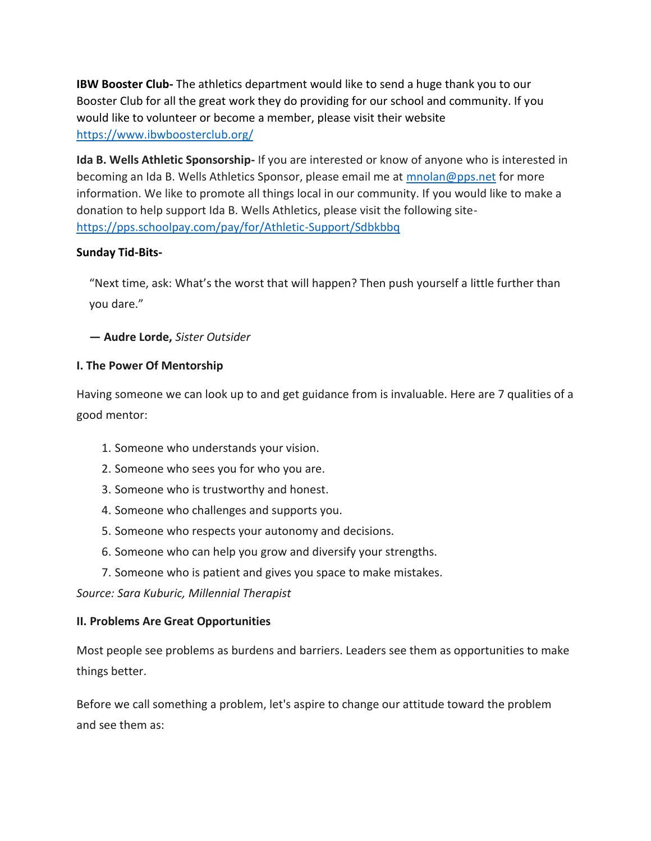**IBW Booster Club-** The athletics department would like to send a huge thank you to our Booster Club for all the great work they do providing for our school and community. If you would like to volunteer or become a member, please visit their website <https://www.ibwboosterclub.org/>

**Ida B. Wells Athletic Sponsorship-** If you are interested or know of anyone who is interested in becoming an Ida B. Wells Athletics Sponsor, please email me at [mnolan@pps.net](mailto:mnolan@pps.net) for more information. We like to promote all things local in our community. If you would like to make a donation to help support Ida B. Wells Athletics, please visit the following site<https://pps.schoolpay.com/pay/for/Athletic-Support/Sdbkbbq>

## **Sunday Tid-Bits-**

"Next time, ask: What's the worst that will happen? Then push yourself a little further than you dare."

**― Audre Lorde,** *Sister Outsider*

## **I. The Power Of Mentorship**

Having someone we can look up to and get guidance from is invaluable. Here are 7 qualities of a good mentor:

- 1. Someone who understands your vision.
- 2. Someone who sees you for who you are.
- 3. Someone who is trustworthy and honest.
- 4. Someone who challenges and supports you.
- 5. Someone who respects your autonomy and decisions.
- 6. Someone who can help you grow and diversify your strengths.
- 7. Someone who is patient and gives you space to make mistakes.

*Source: Sara Kuburic, Millennial Therapist*

### **II. Problems Are Great Opportunities**

Most people see problems as burdens and barriers. Leaders see them as opportunities to make things better.

Before we call something a problem, let's aspire to change our attitude toward the problem and see them as: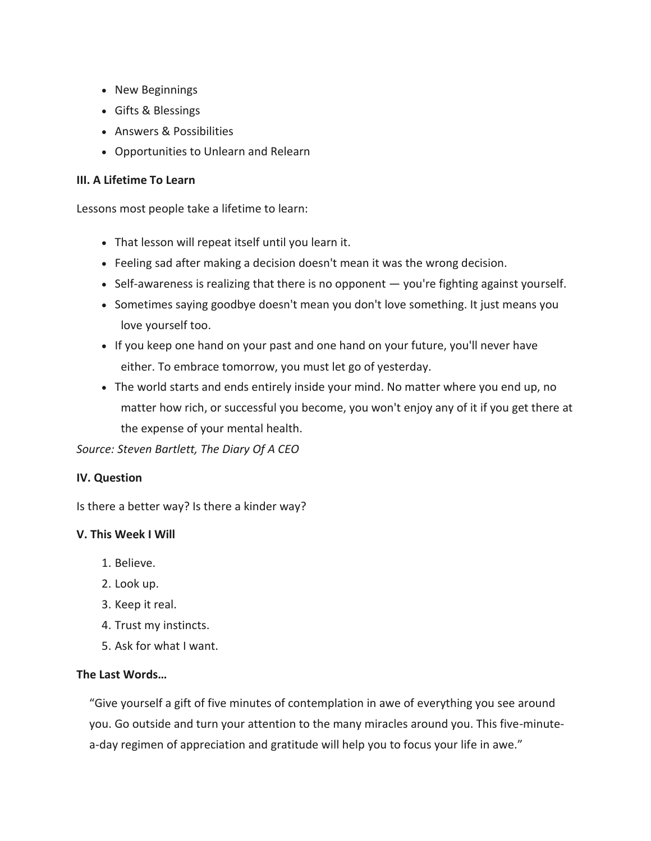- New Beginnings
- Gifts & Blessings
- Answers & Possibilities
- Opportunities to Unlearn and Relearn

## **III. A Lifetime To Learn**

Lessons most people take a lifetime to learn:

- That lesson will repeat itself until you learn it.
- Feeling sad after making a decision doesn't mean it was the wrong decision.
- Self-awareness is realizing that there is no opponent you're fighting against yourself.
- Sometimes saying goodbye doesn't mean you don't love something. It just means you love yourself too.
- If you keep one hand on your past and one hand on your future, you'll never have either. To embrace tomorrow, you must let go of yesterday.
- The world starts and ends entirely inside your mind. No matter where you end up, no matter how rich, or successful you become, you won't enjoy any of it if you get there at the expense of your mental health.

*Source: Steven Bartlett, The Diary Of A CEO*

## **IV. Question**

Is there a better way? Is there a kinder way?

## **V. This Week I Will**

- 1. Believe.
- 2. Look up.
- 3. Keep it real.
- 4. Trust my instincts.
- 5. Ask for what I want.

## **The Last Words…**

"Give yourself a gift of five minutes of contemplation in awe of everything you see around you. Go outside and turn your attention to the many miracles around you. This five-minutea-day regimen of appreciation and gratitude will help you to focus your life in awe."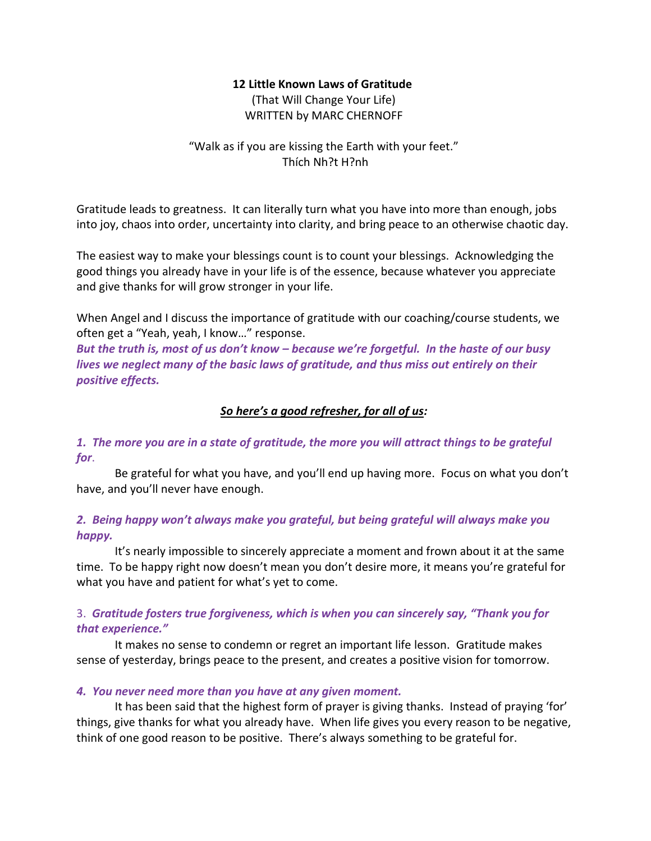### **12 Little Known Laws of Gratitude**

(That Will Change Your Life) WRITTEN by MARC CHERNOFF

## "Walk as if you are kissing the Earth with your feet." Thích Nh?t H?nh

Gratitude leads to greatness. It can literally turn what you have into more than enough, jobs into joy, chaos into order, uncertainty into clarity, and bring peace to an otherwise chaotic day.

The easiest way to make your blessings count is to count your blessings. Acknowledging the good things you already have in your life is of the essence, because whatever you appreciate and give thanks for will grow stronger in your life.

When Angel and I discuss the importance of gratitude with our coaching/course students, we often get a "Yeah, yeah, I know…" response.

*But the truth is, most of us don't know – because we're forgetful. In the haste of our busy lives we neglect many of the basic laws of gratitude, and thus miss out entirely on their positive effects.*

## *So here's a good refresher, for all of us:*

*1. The more you are in a state of gratitude, the more you will attract things to be grateful for*.

Be grateful for what you have, and you'll end up having more. Focus on what you don't have, and you'll never have enough.

## *2. Being happy won't always make you grateful, but being grateful will always make you happy.*

It's nearly impossible to sincerely appreciate a moment and frown about it at the same time. To be happy right now doesn't mean you don't desire more, it means you're grateful for what you have and patient for what's yet to come.

## 3. *Gratitude fosters true forgiveness, which is when you can sincerely say, "Thank you for that experience."*

It makes no sense to condemn or regret an important life lesson. Gratitude makes sense of yesterday, brings peace to the present, and creates a positive vision for tomorrow.

## *4. You never need more than you have at any given moment.*

It has been said that the highest form of prayer is giving thanks. Instead of praying 'for' things, give thanks for what you already have. When life gives you every reason to be negative, think of one good reason to be positive. There's always something to be grateful for.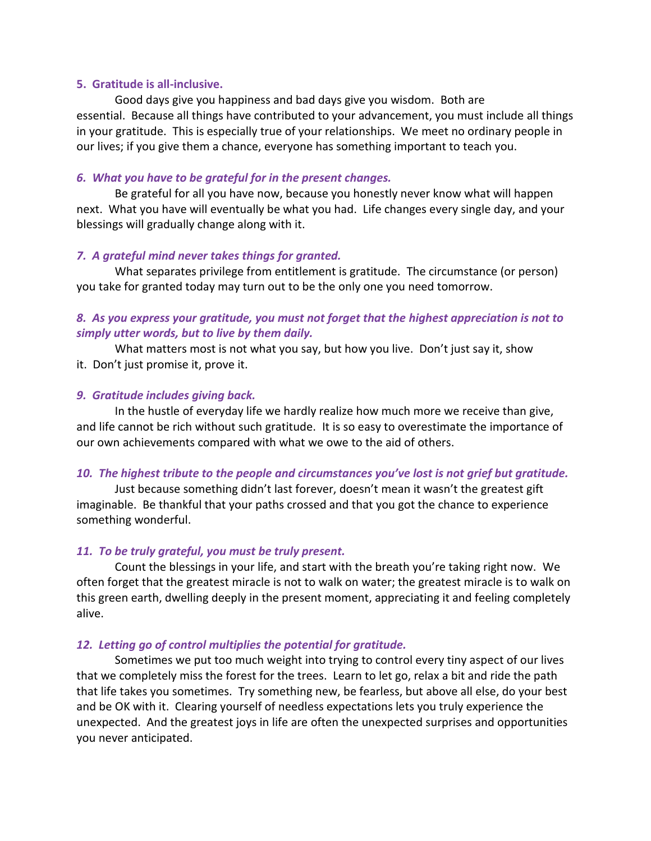#### **5. Gratitude is all-inclusive.**

Good days give you happiness and bad days give you wisdom. Both are essential. Because all things have contributed to your advancement, you must include all things in your gratitude. This is especially true of your relationships. We meet no ordinary people in our lives; if you give them a chance, everyone has something important to teach you.

#### *6. What you have to be grateful for in the present changes.*

Be grateful for all you have now, because you honestly never know what will happen next. What you have will eventually be what you had. Life changes every single day, and your blessings will gradually change along with it.

#### *7. A grateful mind never takes things for granted.*

What separates privilege from entitlement is gratitude. The circumstance (or person) you take for granted today may turn out to be the only one you need tomorrow.

### *8. As you express your gratitude, you must not forget that the highest appreciation is not to simply utter words, but to live by them daily.*

What matters most is not what you say, but how you live. Don't just say it, show it. Don't just promise it, prove it.

#### *9. Gratitude includes giving back.*

In the hustle of everyday life we hardly realize how much more we receive than give, and life cannot be rich without such gratitude. It is so easy to overestimate the importance of our own achievements compared with what we owe to the aid of others.

#### *10. The highest tribute to the people and circumstances you've lost is not grief but gratitude.*

Just because something didn't last forever, doesn't mean it wasn't the greatest gift imaginable. Be thankful that your paths crossed and that you got the chance to experience something wonderful.

#### *11. To be truly grateful, you must be truly present.*

Count the blessings in your life, and start with the breath you're taking right now. We often forget that the greatest miracle is not to walk on water; the greatest miracle is to walk on this green earth, dwelling deeply in the present moment, appreciating it and feeling completely alive.

#### *12. Letting go of control multiplies the potential for gratitude.*

Sometimes we put too much weight into trying to control every tiny aspect of our lives that we completely miss the forest for the trees.Learn to let go, relax a bit and ride the path that life takes you sometimes. Try something new, be fearless, but above all else, do your best and be OK with it. Clearing yourself of needless expectations lets you truly experience the unexpected. And the greatest joys in life are often the unexpected surprises and opportunities you never anticipated.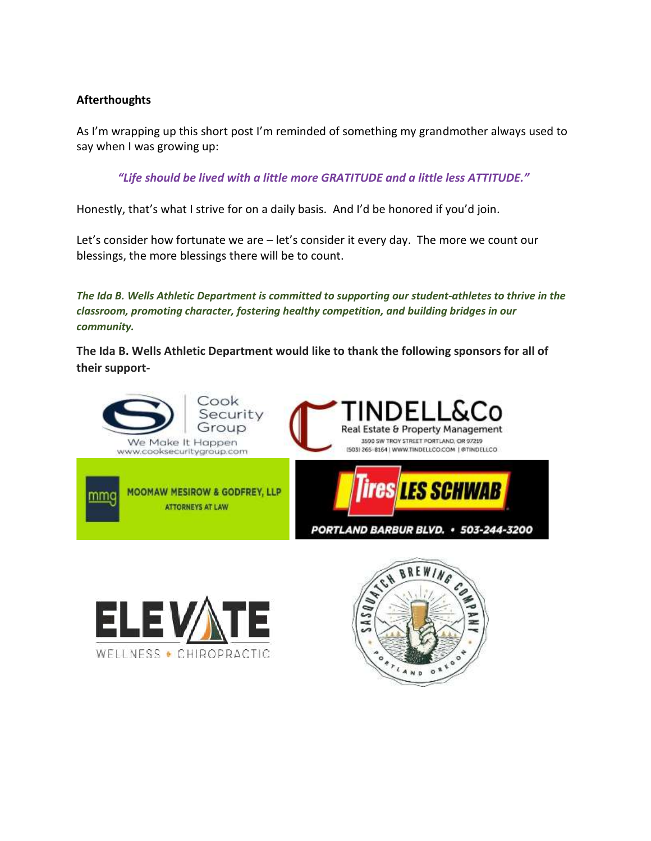## **Afterthoughts**

As I'm wrapping up this short post I'm reminded of something my grandmother always used to say when I was growing up:

*"Life should be lived with a little more GRATITUDE and a little less ATTITUDE."*

Honestly, that's what I strive for on a daily basis. And I'd be honored if you'd join.

Let's consider how fortunate we are – let's consider it every day. The more we count our blessings, the more blessings there will be to count.

*The Ida B. Wells Athletic Department is committed to supporting our student-athletes to thrive in the classroom, promoting character, fostering healthy competition, and building bridges in our community.*

**The Ida B. Wells Athletic Department would like to thank the following sponsors for all of their support-**